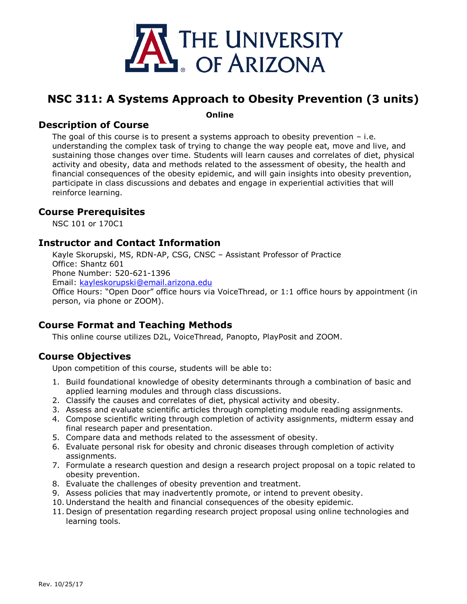

# **NSC 311: A Systems Approach to Obesity Prevention (3 units)**

**Online**

## **Description of Course**

The goal of this course is to present a systems approach to obesity prevention  $-$  i.e. understanding the complex task of trying to change the way people eat, move and live, and sustaining those changes over time. Students will learn causes and correlates of diet, physical activity and obesity, data and methods related to the assessment of obesity, the health and financial consequences of the obesity epidemic, and will gain insights into obesity prevention, participate in class discussions and debates and engage in experiential activities that will reinforce learning.

#### **Course Prerequisites**

NSC 101 or 170C1

## **Instructor and Contact Information**

Kayle Skorupski, MS, RDN-AP, CSG, CNSC – Assistant Professor of Practice Office: Shantz 601 Phone Number: 520-621-1396 Email: [kayleskorupski@email.arizona.edu](mailto:kayleskorupski@email.arizona.edu) Office Hours: "Open Door" office hours via VoiceThread, or 1:1 office hours by appointment (in person, via phone or ZOOM).

## **Course Format and Teaching Methods**

This online course utilizes D2L, VoiceThread, Panopto, PlayPosit and ZOOM.

## **Course Objectives**

Upon competition of this course, students will be able to:

- 1. Build foundational knowledge of obesity determinants through a combination of basic and applied learning modules and through class discussions.
- 2. Classify the causes and correlates of diet, physical activity and obesity.
- 3. Assess and evaluate scientific articles through completing module reading assignments.
- 4. Compose scientific writing through completion of activity assignments, midterm essay and final research paper and presentation.
- 5. Compare data and methods related to the assessment of obesity.
- 6. Evaluate personal risk for obesity and chronic diseases through completion of activity assignments.
- 7. Formulate a research question and design a research project proposal on a topic related to obesity prevention.
- 8. Evaluate the challenges of obesity prevention and treatment.
- 9. Assess policies that may inadvertently promote, or intend to prevent obesity.
- 10. Understand the health and financial consequences of the obesity epidemic.
- 11. Design of presentation regarding research project proposal using online technologies and learning tools.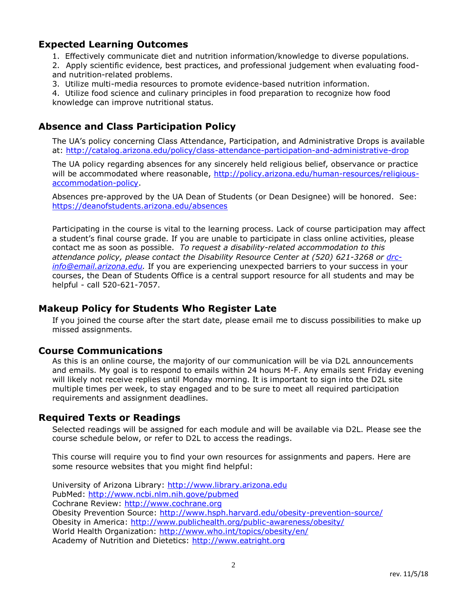## **Expected Learning Outcomes**

- 1. Effectively communicate diet and nutrition information/knowledge to diverse populations.
- 2. Apply scientific evidence, best practices, and professional judgement when evaluating foodand nutrition-related problems.
- 3. Utilize multi-media resources to promote evidence-based nutrition information.

4. Utilize food science and culinary principles in food preparation to recognize how food knowledge can improve nutritional status.

## **Absence and Class Participation Policy**

The UA's policy concerning Class Attendance, Participation, and Administrative Drops is available at:<http://catalog.arizona.edu/policy/class-attendance-participation-and-administrative-drop>

The UA policy regarding absences for any sincerely held religious belief, observance or practice will be accommodated where reasonable, [http://policy.arizona.edu/human-resources/religious](http://policy.arizona.edu/human-resources/religious-accommodation-policy)[accommodation-policy.](http://policy.arizona.edu/human-resources/religious-accommodation-policy)

Absences pre-approved by the UA Dean of Students (or Dean Designee) will be honored. See: <https://deanofstudents.arizona.edu/absences>

Participating in the course is vital to the learning process. Lack of course participation may affect a student's final course grade. If you are unable to participate in class online activities, please contact me as soon as possible. *To request a disability-related accommodation to this attendance policy, please contact the Disability Resource Center at (520) 621-3268 or [drc](mailto:drc-info@email.arizona.edu)[info@email.arizona.edu.](mailto:drc-info@email.arizona.edu)* If you are experiencing unexpected barriers to your success in your courses, the Dean of Students Office is a central support resource for all students and may be helpful - call 520-621-7057.

## **Makeup Policy for Students Who Register Late**

If you joined the course after the start date, please email me to discuss possibilities to make up missed assignments.

#### **Course Communications**

As this is an online course, the majority of our communication will be via D2L announcements and emails. My goal is to respond to emails within 24 hours M-F. Any emails sent Friday evening will likely not receive replies until Monday morning. It is important to sign into the D2L site multiple times per week, to stay engaged and to be sure to meet all required participation requirements and assignment deadlines.

#### **Required Texts or Readings**

Selected readings will be assigned for each module and will be available via D2L. Please see the course schedule below, or refer to D2L to access the readings.

This course will require you to find your own resources for assignments and papers. Here are some resource websites that you might find helpful:

University of Arizona Library: [http://www.library.arizona.edu](http://www.library.arizona.edu/) PubMed:<http://www.ncbi.nlm.nih.gove/pubmed> Cochrane Review: [http://www.cochrane.org](http://www.cochrane.org/) Obesity Prevention Source:<http://www.hsph.harvard.edu/obesity-prevention-source/> Obesity in America:<http://www.publichealth.org/public-awareness/obesity/> World Health Organization:<http://www.who.int/topics/obesity/en/> Academy of Nutrition and Dietetics: [http://www.eatright.org](http://www.eatright.org/)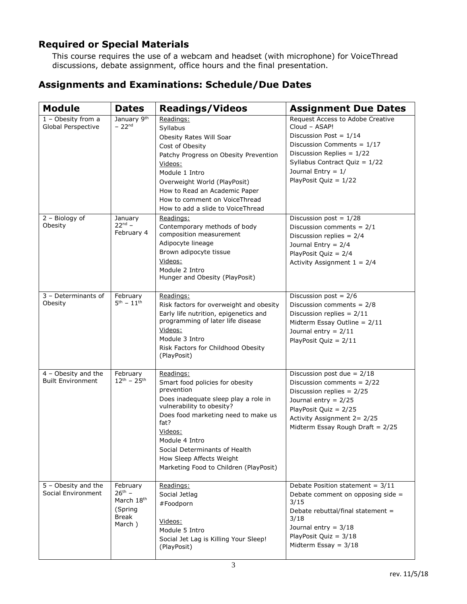## **Required or Special Materials**

This course requires the use of a webcam and headset (with microphone) for VoiceThread discussions, debate assignment, office hours and the final presentation.

## **Assignments and Examinations: Schedule/Due Dates**

| <b>Module</b>                                   | <b>Dates</b>                                                        | <b>Readings/Videos</b>                                                                                                                                                                                                                                                                                             | <b>Assignment Due Dates</b>                                                                                                                                                                                                        |
|-------------------------------------------------|---------------------------------------------------------------------|--------------------------------------------------------------------------------------------------------------------------------------------------------------------------------------------------------------------------------------------------------------------------------------------------------------------|------------------------------------------------------------------------------------------------------------------------------------------------------------------------------------------------------------------------------------|
| $1 -$ Obesity from a<br>Global Perspective      | January 9th<br>$-22nd$                                              | Readings:<br>Syllabus<br>Obesity Rates Will Soar<br>Cost of Obesity<br>Patchy Progress on Obesity Prevention<br>Videos:<br>Module 1 Intro<br>Overweight World (PlayPosit)<br>How to Read an Academic Paper<br>How to comment on VoiceThread<br>How to add a slide to VoiceThread                                   | Request Access to Adobe Creative<br>Cloud - ASAP!<br>Discussion Post = $1/14$<br>Discussion Comments = $1/17$<br>Discussion Replies = $1/22$<br>Syllabus Contract Quiz = $1/22$<br>Journal Entry = $1/$<br>PlayPosit Quiz = $1/22$ |
| 2 - Biology of<br>Obesity                       | January<br>$22^{nd} -$<br>February 4                                | Readings:<br>Contemporary methods of body<br>composition measurement<br>Adipocyte lineage<br>Brown adipocyte tissue<br>Videos:<br>Module 2 Intro<br>Hunger and Obesity (PlayPosit)                                                                                                                                 | Discussion post = $\frac{1}{28}$<br>Discussion comments = $2/1$<br>Discussion replies = $2/4$<br>Journal Entry = $2/4$<br>PlayPosit Quiz = $2/4$<br>Activity Assignment $1 = 2/4$                                                  |
| 3 - Determinants of<br>Obesity                  | February<br>$5^{th} - 11^{th}$                                      | Readings:<br>Risk factors for overweight and obesity<br>Early life nutrition, epigenetics and<br>programming of later life disease<br>Videos:<br>Module 3 Intro<br>Risk Factors for Childhood Obesity<br>(PlayPosit)                                                                                               | Discussion post = $2/6$<br>Discussion comments = $2/8$<br>Discussion replies = $2/11$<br>Midterm Essay Outline = $2/11$<br>Journal entry = $2/11$<br>PlayPosit Quiz = $2/11$                                                       |
| 4 - Obesity and the<br><b>Built Environment</b> | February<br>$12^{th} - 25^{th}$                                     | Readings:<br>Smart food policies for obesity<br>prevention<br>Does inadequate sleep play a role in<br>vulnerability to obesity?<br>Does food marketing need to make us<br>fat?<br>Videos:<br>Module 4 Intro<br>Social Determinants of Health<br>How Sleep Affects Weight<br>Marketing Food to Children (PlayPosit) | Discussion post due = $2/18$<br>Discussion comments = $2/22$<br>Discussion replies = $2/25$<br>Journal entry = $2/25$<br>PlayPosit Quiz = $2/25$<br>Activity Assignment 2= 2/25<br>Midterm Essay Rough Draft = $2/25$              |
| 5 - Obesity and the<br>Social Environment       | February<br>$26^{th} -$<br>March 18th<br>(Spring<br>Break<br>March) | Readings:<br>Social Jetlag<br>#Foodporn<br>Videos:<br>Module 5 Intro<br>Social Jet Lag is Killing Your Sleep!<br>(PlayPosit)                                                                                                                                                                                       | Debate Position statement = 3/11<br>Debate comment on opposing side =<br>3/15<br>Debate rebuttal/final statement =<br>3/18<br>Journal entry = $3/18$<br>PlayPosit Quiz = 3/18<br>Midterm Essay = $3/18$                            |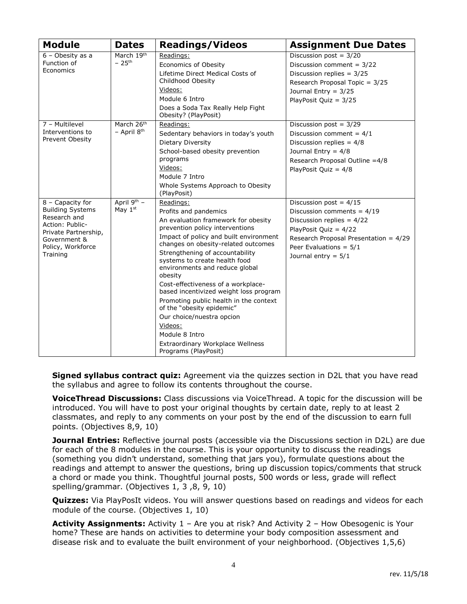| <b>Module</b>                                           | <b>Dates</b>             | <b>Readings/Videos</b>                                              | <b>Assignment Due Dates</b>           |
|---------------------------------------------------------|--------------------------|---------------------------------------------------------------------|---------------------------------------|
| 6 - Obesity as a                                        | March 19th               | Readings:                                                           | Discussion post = $3/20$              |
| Function of                                             | $-25$ <sup>th</sup>      | Economics of Obesity                                                | Discussion comment = $3/22$           |
| Economics                                               |                          | Lifetime Direct Medical Costs of                                    | Discussion replies = $3/25$           |
|                                                         |                          | Childhood Obesity                                                   | Research Proposal Topic = 3/25        |
|                                                         |                          | Videos:                                                             | Journal Entry = $3/25$                |
|                                                         |                          | Module 6 Intro                                                      | PlayPosit Quiz = $3/25$               |
|                                                         |                          | Does a Soda Tax Really Help Fight<br>Obesity? (PlayPosit)           |                                       |
| 7 - Multilevel                                          | March 26th               | Readings:                                                           | Discussion post = $3/29$              |
| Interventions to<br>Prevent Obesity                     | $-$ April $8th$          | Sedentary behaviors in today's youth                                | Discussion comment = $4/1$            |
|                                                         |                          | Dietary Diversity                                                   | Discussion replies = $4/8$            |
|                                                         |                          | School-based obesity prevention                                     | Journal Entry = $4/8$                 |
|                                                         |                          | programs                                                            | Research Proposal Outline = 4/8       |
|                                                         |                          | Videos:                                                             | PlayPosit Quiz = $4/8$                |
|                                                         |                          | Module 7 Intro                                                      |                                       |
|                                                         |                          | Whole Systems Approach to Obesity<br>(PlayPosit)                    |                                       |
| $8 -$ Capacity for<br><b>Building Systems</b>           | April 9th -<br>May $1st$ | Readings:                                                           | Discussion post = $4/15$              |
|                                                         |                          | Profits and pandemics                                               | Discussion comments = $4/19$          |
| Research and                                            |                          | An evaluation framework for obesity                                 | Discussion replies = $4/22$           |
| Action: Public-<br>Private Partnership,<br>Government & |                          | prevention policy interventions                                     | PlayPosit Quiz = $4/22$               |
|                                                         |                          | Impact of policy and built environment                              | Research Proposal Presentation = 4/29 |
| Policy, Workforce                                       |                          | changes on obesity-related outcomes                                 | Peer Evaluations = $5/1$              |
| Training                                                |                          | Strengthening of accountability<br>systems to create health food    | Journal entry = $5/1$                 |
|                                                         |                          | environments and reduce global                                      |                                       |
|                                                         |                          | obesity                                                             |                                       |
|                                                         |                          | Cost-effectiveness of a workplace-                                  |                                       |
|                                                         |                          | based incentivized weight loss program                              |                                       |
|                                                         |                          | Promoting public health in the context<br>of the "obesity epidemic" |                                       |
|                                                         |                          | Our choice/nuestra opcion                                           |                                       |
|                                                         |                          | Videos:                                                             |                                       |
|                                                         |                          | Module 8 Intro                                                      |                                       |
|                                                         |                          | Extraordinary Workplace Wellness<br>Programs (PlayPosit)            |                                       |

**Signed syllabus contract quiz:** Agreement via the quizzes section in D2L that you have read the syllabus and agree to follow its contents throughout the course.

**VoiceThread Discussions:** Class discussions via VoiceThread. A topic for the discussion will be introduced. You will have to post your original thoughts by certain date, reply to at least 2 classmates, and reply to any comments on your post by the end of the discussion to earn full points. (Objectives 8,9, 10)

**Journal Entries:** Reflective journal posts (accessible via the Discussions section in D2L) are due for each of the 8 modules in the course. This is your opportunity to discuss the readings (something you didn't understand, something that jars you), formulate questions about the readings and attempt to answer the questions, bring up discussion topics/comments that struck a chord or made you think. Thoughtful journal posts, 500 words or less, grade will reflect spelling/grammar. (Objectives 1, 3 ,8, 9, 10)

**Quizzes:** Via PlayPosIt videos. You will answer questions based on readings and videos for each module of the course. (Objectives 1, 10)

**Activity Assignments:** Activity 1 – Are you at risk? And Activity 2 – How Obesogenic is Your home? These are hands on activities to determine your body composition assessment and disease risk and to evaluate the built environment of your neighborhood. (Objectives 1,5,6)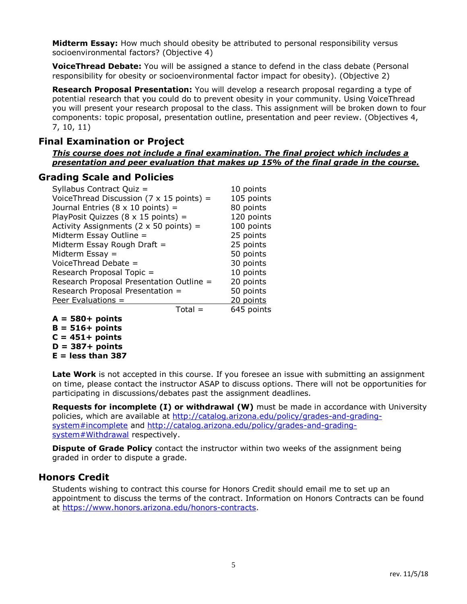**Midterm Essay:** How much should obesity be attributed to personal responsibility versus socioenvironmental factors? (Objective 4)

**VoiceThread Debate:** You will be assigned a stance to defend in the class debate (Personal responsibility for obesity or socioenvironmental factor impact for obesity). (Objective 2)

**Research Proposal Presentation:** You will develop a research proposal regarding a type of potential research that you could do to prevent obesity in your community. Using VoiceThread you will present your research proposal to the class. This assignment will be broken down to four components: topic proposal, presentation outline, presentation and peer review. (Objectives 4, 7, 10, 11)

#### **Final Examination or Project**

*This course does not include a final examination. The final project which includes a presentation and peer evaluation that makes up 15% of the final grade in the course.* 

#### **Grading Scale and Policies**

| Syllabus Contract Quiz =                                | 10 points  |
|---------------------------------------------------------|------------|
| VoiceThread Discussion $(7 \times 15 \text{ points}) =$ | 105 points |
| Journal Entries ( $8 \times 10$ points) =               | 80 points  |
| PlayPosit Quizzes ( $8 \times 15$ points) =             | 120 points |
| Activity Assignments ( $2 \times 50$ points) =          | 100 points |
| Midterm Essay Outline =                                 | 25 points  |
| Midterm Essay Rough Draft $=$                           | 25 points  |
| Midterm Essay $=$                                       | 50 points  |
| VoiceThread Debate =                                    | 30 points  |
| Research Proposal Topic =                               | 10 points  |
| Research Proposal Presentation Outline =                | 20 points  |
| Research Proposal Presentation =                        | 50 points  |
| Peer Evaluations =                                      | 20 points  |
| $Total =$                                               | 645 points |

**A = 580+ points B = 516+ points C = 451+ points D = 387+ points E = less than 387**

Late Work is not accepted in this course. If you foresee an issue with submitting an assignment on time, please contact the instructor ASAP to discuss options. There will not be opportunities for participating in discussions/debates past the assignment deadlines.

**Requests for incomplete (I) or withdrawal (W)** must be made in accordance with University policies, which are available at [http://catalog.arizona.edu/policy/grades-and-grading](http://catalog.arizona.edu/policy/grades-and-grading-system#incomplete)[system#incomplete](http://catalog.arizona.edu/policy/grades-and-grading-system#incomplete) and [http://catalog.arizona.edu/policy/grades-and-grading](http://catalog.arizona.edu/policy/grades-and-grading-system#Withdrawal)[system#Withdrawal](http://catalog.arizona.edu/policy/grades-and-grading-system#Withdrawal) respectively.

**Dispute of Grade Policy** contact the instructor within two weeks of the assignment being graded in order to dispute a grade.

#### **Honors Credit**

Students wishing to contract this course for Honors Credit should email me to set up an appointment to discuss the terms of the contract. Information on Honors Contracts can be found at [https://www.honors.arizona.edu/honors-contracts.](https://www.honors.arizona.edu/honors-contracts)